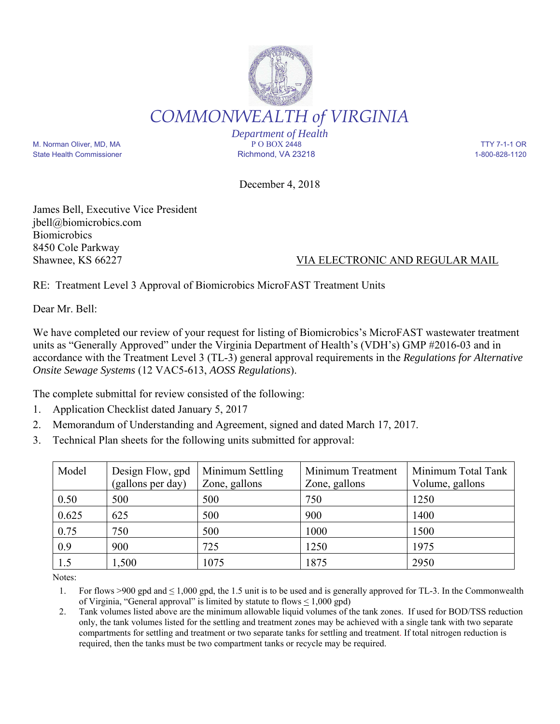

*Department of Health* M. Norman Oliver, MD, MA P O BOX 2448 TTY 7-1-1 OR State Health Commissioner and the Richmond, VA 23218 1-800-828-1120

December 4, 2018

James Bell, Executive Vice President jbell@biomicrobics.com **Biomicrobics** 8450 Cole Parkway

## Shawnee, KS 66227 VIA ELECTRONIC AND REGULAR MAIL

RE: Treatment Level 3 Approval of Biomicrobics MicroFAST Treatment Units

Dear Mr. Bell:

We have completed our review of your request for listing of Biomicrobics's MicroFAST wastewater treatment units as "Generally Approved" under the Virginia Department of Health's (VDH's) GMP #2016-03 and in accordance with the Treatment Level 3 (TL-3) general approval requirements in the *Regulations for Alternative Onsite Sewage Systems* (12 VAC5-613, *AOSS Regulations*).

The complete submittal for review consisted of the following:

- 1. Application Checklist dated January 5, 2017
- 2. Memorandum of Understanding and Agreement, signed and dated March 17, 2017.
- 3. Technical Plan sheets for the following units submitted for approval:

| Model | Design Flow, gpd<br>(gallons per day) | Minimum Settling<br>Zone, gallons | Minimum Treatment<br>Zone, gallons | Minimum Total Tank<br>Volume, gallons |
|-------|---------------------------------------|-----------------------------------|------------------------------------|---------------------------------------|
| 0.50  | 500                                   | 500                               | 750                                | 1250                                  |
| 0.625 | 625                                   | 500                               | 900                                | 1400                                  |
| 0.75  | 750                                   | 500                               | 1000                               | 1500                                  |
| 0.9   | 900                                   | 725                               | 1250                               | 1975                                  |
| 1.5   | 1,500                                 | 1075                              | 1875                               | 2950                                  |

Notes:

1. For flows >900 gpd and  $\leq 1,000$  gpd, the 1.5 unit is to be used and is generally approved for TL-3. In the Commonwealth of Virginia, "General approval" is limited by statute to flows < 1,000 gpd)

2. Tank volumes listed above are the minimum allowable liquid volumes of the tank zones. If used for BOD/TSS reduction only, the tank volumes listed for the settling and treatment zones may be achieved with a single tank with two separate compartments for settling and treatment or two separate tanks for settling and treatment. If total nitrogen reduction is required, then the tanks must be two compartment tanks or recycle may be required.